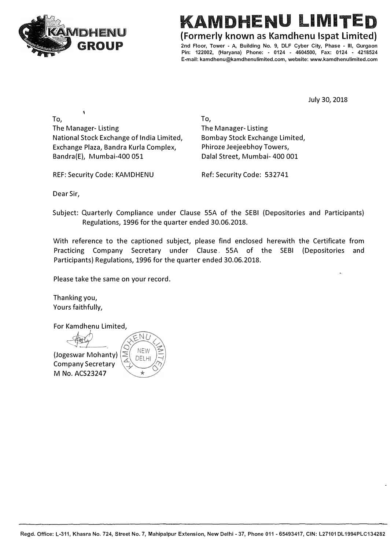

## KAMDHENU LIMITED

**{Formerly known as Kamdhenu lspat Limited)** 

**2nd Floor, Tower - A, Building No. 9, DLF Cyber City, Phase • Ill, Gurgaon Pin: 122002, (Haryana) Phone: - 0124 - 4604500, Fax: 0124 • 4218524 E-mail: kamdhenu@kamdhenulimited.com, website: www.kamdhenulimited.com**

July 30, 2018

To, The Manager- Listing National Stock Exchange of India Limited, Exchange Plaza, Bandra Kurla Complex, Bandra(E), Mumbai-400 051

To, The Manager- Listing Bombay Stock Exchange Limited, Phiroze Jeejeebhoy Towers, Dalal Street, Mumbai- 400 001

REF: Security Code: KAMDHENU Ref: Security Code: 532741

Dear Sir,

Subject: Quarterly Compliance under Clause SSA of the SEBI (Depositories and Participants) Regulations, 1996 for the quarter ended 30.06.2018.

With reference to the captioned subject, please find enclosed herewith the Certificate from Practicing Company Secretary under Clause. SSA of the SEBI (Depositories and Participants) Regulations, 1996 for the quarter ended 30.06.2018.

Please take the same on your record.

Thanking you, Yours faithfully,

For K amdhenu Limited,

**A** Presemption construction of  $\theta$ (Jogeswar Mohanty) Company Secretary **M No.ACS23247** 

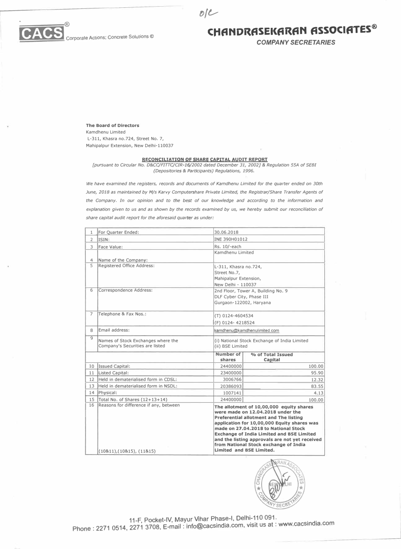



*COMPANY SECRETARIES* 

**The Board of Directors**  Kamdhenu Limited

L-311, Khasra no.724, Street No. 7, Mahipalpur Extension, New Delhi-110037

## **RECONCILIATION OF SHARE CAPITAL AUDIT REPORT**

 $olC$ 

*[pursuant to Circular No. D&CC/FITTC/CIR-16/2002 dated December 31, 2002]* & *Regulation 55A of SEBI (Depositories* & *Participants) Regulations, 1996.* 

*We have examined the registers, records and documents of Kamdhenu Limited for the quarter ended on 30th June, 2018 as maintained by M/s Karvy Computershare Private Limited, the Registrar/Share Transfer Agents of the Company. In our opinion and to the best of our knowledge and according to the information and explanation given to us and as shown by the records examined by us, we hereby submit our reconciliation of share capital audit report for the aforesaid quarter as under:* 

| For Quarter Ended:                                                    | 30.06.2018                                                        |                                                                                                                                                                                                                                                                                                                                                                                                  |  |  |  |
|-----------------------------------------------------------------------|-------------------------------------------------------------------|--------------------------------------------------------------------------------------------------------------------------------------------------------------------------------------------------------------------------------------------------------------------------------------------------------------------------------------------------------------------------------------------------|--|--|--|
| ISIN:                                                                 | INE 390H01012                                                     |                                                                                                                                                                                                                                                                                                                                                                                                  |  |  |  |
| Face Value:                                                           | Rs. 10/-each                                                      |                                                                                                                                                                                                                                                                                                                                                                                                  |  |  |  |
|                                                                       |                                                                   | Kamdhenu Limited                                                                                                                                                                                                                                                                                                                                                                                 |  |  |  |
| Name of the Company:                                                  |                                                                   |                                                                                                                                                                                                                                                                                                                                                                                                  |  |  |  |
| Registered Office Address:                                            |                                                                   | L-311, Khasra no.724,                                                                                                                                                                                                                                                                                                                                                                            |  |  |  |
|                                                                       | Street No.7,                                                      |                                                                                                                                                                                                                                                                                                                                                                                                  |  |  |  |
|                                                                       | Mahipalpur Extension,                                             |                                                                                                                                                                                                                                                                                                                                                                                                  |  |  |  |
|                                                                       | New Delhi - 110037                                                |                                                                                                                                                                                                                                                                                                                                                                                                  |  |  |  |
|                                                                       |                                                                   | 2nd Floor, Tower A, Building No. 9                                                                                                                                                                                                                                                                                                                                                               |  |  |  |
|                                                                       |                                                                   | DLF Cyber City, Phase III                                                                                                                                                                                                                                                                                                                                                                        |  |  |  |
|                                                                       | Gurgaon-122002, Haryana                                           |                                                                                                                                                                                                                                                                                                                                                                                                  |  |  |  |
| Telephone & Fax Nos.:                                                 |                                                                   | (T) 0124-4604534                                                                                                                                                                                                                                                                                                                                                                                 |  |  |  |
|                                                                       |                                                                   | (F) 0124-4218524                                                                                                                                                                                                                                                                                                                                                                                 |  |  |  |
| <b>Email address:</b>                                                 | kamdhenu@kamdhenulimited.com                                      |                                                                                                                                                                                                                                                                                                                                                                                                  |  |  |  |
| Names of Stock Exchanges where the<br>Company's Securities are listed | (i) National Stock Exchange of India Limited<br>(ii) BSE Limited  |                                                                                                                                                                                                                                                                                                                                                                                                  |  |  |  |
|                                                                       | Number of<br>shares                                               | % of Total Issued<br>Capital                                                                                                                                                                                                                                                                                                                                                                     |  |  |  |
| Issued Capital:<br>10                                                 | 24400000                                                          | 100.00                                                                                                                                                                                                                                                                                                                                                                                           |  |  |  |
| Listed Capital:<br>11                                                 | 23400000                                                          | 95.90                                                                                                                                                                                                                                                                                                                                                                                            |  |  |  |
| Held in dematerialised form in CDSL:<br>12                            | 3006766                                                           | 12.32                                                                                                                                                                                                                                                                                                                                                                                            |  |  |  |
| 13 Held in dematerialised form in NSDL:                               | 20386093                                                          | 83.55                                                                                                                                                                                                                                                                                                                                                                                            |  |  |  |
| 14 Physical:                                                          | 1007141                                                           | 4.13                                                                                                                                                                                                                                                                                                                                                                                             |  |  |  |
| 15 Total No. of Shares (12+13+14)                                     | 24400000                                                          | 100.00                                                                                                                                                                                                                                                                                                                                                                                           |  |  |  |
| 16<br>(10811), (10815), (11815)                                       |                                                                   | The allotment of 10,00,000 equity shares<br>were made on 12.04.2018 under the<br><b>Preferential allotment and The listing</b><br>application for 10,00,000 Equity shares was<br>made on 27.04.2018 to National Stock<br><b>Exchange of India Limited and BSE Limited</b><br>and the listing approvals are not yet received<br>from National Stock exchange of India<br>Limited and BSE Limited. |  |  |  |
|                                                                       | Correspondence Address:<br>Reasons for difference if any, between |                                                                                                                                                                                                                                                                                                                                                                                                  |  |  |  |



11-F, Pocket-IV, Mayur Vihar Phase-I, Delhi-110 091.

. 11-F, Pocket-IV, Mayur Vihar Phase-I, Delni-110 U91.<br>Phone : 2271 0514, 2271 3708, E-mail : info@cacsindia.com, visit us at : www.cacsindia.com